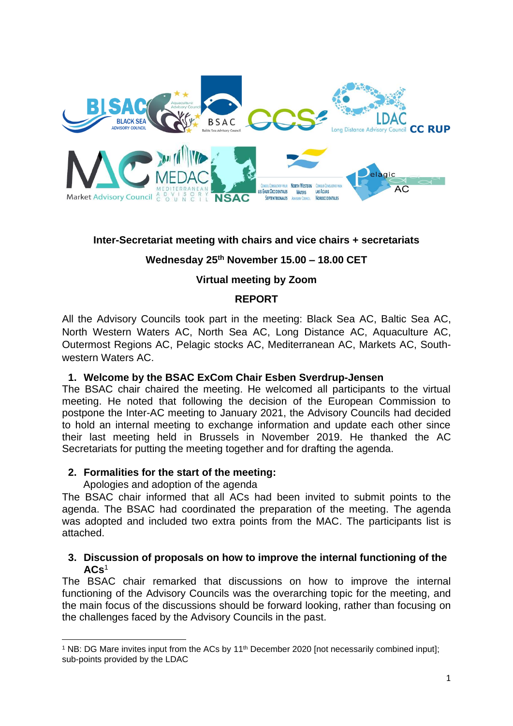

### **Inter-Secretariat meeting with chairs and vice chairs + secretariats**

# **Wednesday 25th November 15.00 – 18.00 CET**

# **Virtual meeting by Zoom**

### **REPORT**

All the Advisory Councils took part in the meeting: Black Sea AC, Baltic Sea AC, North Western Waters AC, North Sea AC, Long Distance AC, Aquaculture AC, Outermost Regions AC, Pelagic stocks AC, Mediterranean AC, Markets AC, Southwestern Waters AC.

#### **1. Welcome by the BSAC ExCom Chair Esben Sverdrup-Jensen**

The BSAC chair chaired the meeting. He welcomed all participants to the virtual meeting. He noted that following the decision of the European Commission to postpone the Inter-AC meeting to January 2021, the Advisory Councils had decided to hold an internal meeting to exchange information and update each other since their last meeting held in Brussels in November 2019. He thanked the AC Secretariats for putting the meeting together and for drafting the agenda.

#### **2. Formalities for the start of the meeting:**

Apologies and adoption of the agenda

The BSAC chair informed that all ACs had been invited to submit points to the agenda. The BSAC had coordinated the preparation of the meeting. The agenda was adopted and included two extra points from the MAC. The participants list is attached.

#### **3. Discussion of proposals on how to improve the internal functioning of the ACs**<sup>1</sup>

The BSAC chair remarked that discussions on how to improve the internal functioning of the Advisory Councils was the overarching topic for the meeting, and the main focus of the discussions should be forward looking, rather than focusing on the challenges faced by the Advisory Councils in the past.

<sup>&</sup>lt;sup>1</sup> NB: DG Mare invites input from the ACs by 11<sup>th</sup> December 2020 [not necessarily combined input]; sub-points provided by the LDAC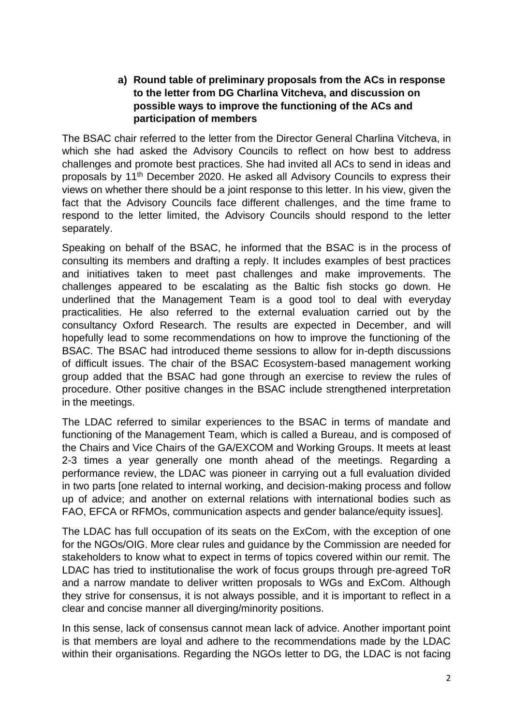# **a) Round table of preliminary proposals from the ACs in response to the letter from DG Charlina Vitcheva, and discussion on possible ways to improve the functioning of the ACs and participation of members**

The BSAC chair referred to the letter from the Director General Charlina Vitcheva, in which she had asked the Advisory Councils to reflect on how best to address challenges and promote best practices. She had invited all ACs to send in ideas and proposals by 11th December 2020. He asked all Advisory Councils to express their views on whether there should be a joint response to this letter. In his view, given the fact that the Advisory Councils face different challenges, and the time frame to respond to the letter limited, the Advisory Councils should respond to the letter separately.

Speaking on behalf of the BSAC, he informed that the BSAC is in the process of consulting its members and drafting a reply. It includes examples of best practices and initiatives taken to meet past challenges and make improvements. The challenges appeared to be escalating as the Baltic fish stocks go down. He underlined that the Management Team is a good tool to deal with everyday practicalities. He also referred to the external evaluation carried out by the consultancy Oxford Research. The results are expected in December, and will hopefully lead to some recommendations on how to improve the functioning of the BSAC. The BSAC had introduced theme sessions to allow for in-depth discussions of difficult issues. The chair of the BSAC Ecosystem-based management working group added that the BSAC had gone through an exercise to review the rules of procedure. Other positive changes in the BSAC include strengthened interpretation in the meetings.

The LDAC referred to similar experiences to the BSAC in terms of mandate and functioning of the Management Team, which is called a Bureau, and is composed of the Chairs and Vice Chairs of the GA/EXCOM and Working Groups. It meets at least 2-3 times a year generally one month ahead of the meetings. Regarding a performance review, the LDAC was pioneer in carrying out a full evaluation divided in two parts [one related to internal working, and decision-making process and follow up of advice; and another on external relations with international bodies such as FAO, EFCA or RFMOs, communication aspects and gender balance/equity issues].

The LDAC has full occupation of its seats on the ExCom, with the exception of one for the NGOs/OIG. More clear rules and guidance by the Commission are needed for stakeholders to know what to expect in terms of topics covered within our remit. The LDAC has tried to institutionalise the work of focus groups through pre-agreed ToR and a narrow mandate to deliver written proposals to WGs and ExCom. Although they strive for consensus, it is not always possible, and it is important to reflect in a clear and concise manner all diverging/minority positions.

In this sense, lack of consensus cannot mean lack of advice. Another important point is that members are loyal and adhere to the recommendations made by the LDAC within their organisations. Regarding the NGOs letter to DG, the LDAC is not facing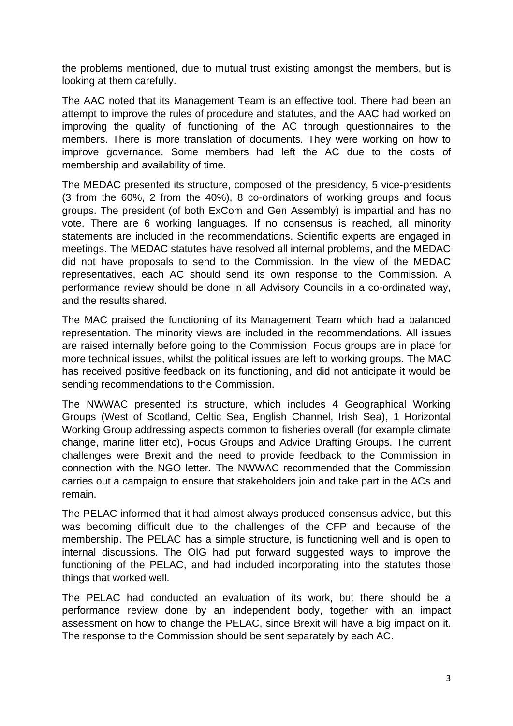the problems mentioned, due to mutual trust existing amongst the members, but is looking at them carefully.

The AAC noted that its Management Team is an effective tool. There had been an attempt to improve the rules of procedure and statutes, and the AAC had worked on improving the quality of functioning of the AC through questionnaires to the members. There is more translation of documents. They were working on how to improve governance. Some members had left the AC due to the costs of membership and availability of time.

The MEDAC presented its structure, composed of the presidency, 5 vice-presidents (3 from the 60%, 2 from the 40%), 8 co-ordinators of working groups and focus groups. The president (of both ExCom and Gen Assembly) is impartial and has no vote. There are 6 working languages. If no consensus is reached, all minority statements are included in the recommendations. Scientific experts are engaged in meetings. The MEDAC statutes have resolved all internal problems, and the MEDAC did not have proposals to send to the Commission. In the view of the MEDAC representatives, each AC should send its own response to the Commission. A performance review should be done in all Advisory Councils in a co-ordinated way, and the results shared.

The MAC praised the functioning of its Management Team which had a balanced representation. The minority views are included in the recommendations. All issues are raised internally before going to the Commission. Focus groups are in place for more technical issues, whilst the political issues are left to working groups. The MAC has received positive feedback on its functioning, and did not anticipate it would be sending recommendations to the Commission.

The NWWAC presented its structure, which includes 4 Geographical Working Groups (West of Scotland, Celtic Sea, English Channel, Irish Sea), 1 Horizontal Working Group addressing aspects common to fisheries overall (for example climate change, marine litter etc), Focus Groups and Advice Drafting Groups. The current challenges were Brexit and the need to provide feedback to the Commission in connection with the NGO letter. The NWWAC recommended that the Commission carries out a campaign to ensure that stakeholders join and take part in the ACs and remain.

The PELAC informed that it had almost always produced consensus advice, but this was becoming difficult due to the challenges of the CFP and because of the membership. The PELAC has a simple structure, is functioning well and is open to internal discussions. The OIG had put forward suggested ways to improve the functioning of the PELAC, and had included incorporating into the statutes those things that worked well.

The PELAC had conducted an evaluation of its work, but there should be a performance review done by an independent body, together with an impact assessment on how to change the PELAC, since Brexit will have a big impact on it. The response to the Commission should be sent separately by each AC.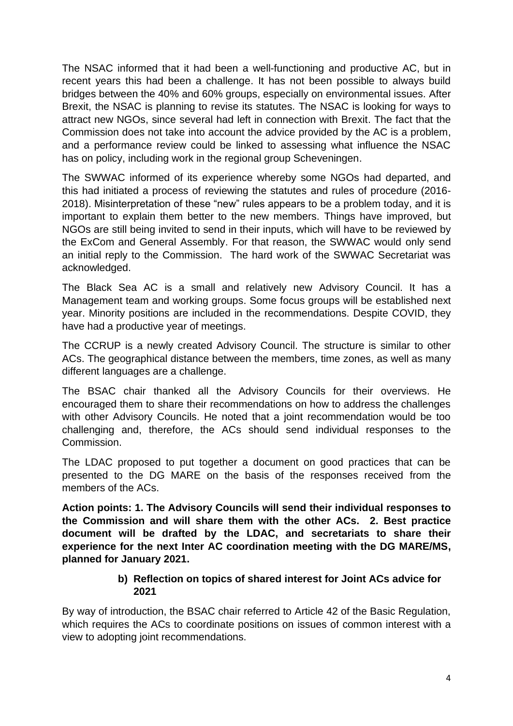The NSAC informed that it had been a well-functioning and productive AC, but in recent years this had been a challenge. It has not been possible to always build bridges between the 40% and 60% groups, especially on environmental issues. After Brexit, the NSAC is planning to revise its statutes. The NSAC is looking for ways to attract new NGOs, since several had left in connection with Brexit. The fact that the Commission does not take into account the advice provided by the AC is a problem, and a performance review could be linked to assessing what influence the NSAC has on policy, including work in the regional group Scheveningen.

The SWWAC informed of its experience whereby some NGOs had departed, and this had initiated a process of reviewing the statutes and rules of procedure (2016- 2018). Misinterpretation of these "new" rules appears to be a problem today, and it is important to explain them better to the new members. Things have improved, but NGOs are still being invited to send in their inputs, which will have to be reviewed by the ExCom and General Assembly. For that reason, the SWWAC would only send an initial reply to the Commission. The hard work of the SWWAC Secretariat was acknowledged.

The Black Sea AC is a small and relatively new Advisory Council. It has a Management team and working groups. Some focus groups will be established next year. Minority positions are included in the recommendations. Despite COVID, they have had a productive year of meetings.

The CCRUP is a newly created Advisory Council. The structure is similar to other ACs. The geographical distance between the members, time zones, as well as many different languages are a challenge.

The BSAC chair thanked all the Advisory Councils for their overviews. He encouraged them to share their recommendations on how to address the challenges with other Advisory Councils. He noted that a joint recommendation would be too challenging and, therefore, the ACs should send individual responses to the Commission.

The LDAC proposed to put together a document on good practices that can be presented to the DG MARE on the basis of the responses received from the members of the ACs.

**Action points: 1. The Advisory Councils will send their individual responses to the Commission and will share them with the other ACs. 2. Best practice document will be drafted by the LDAC, and secretariats to share their experience for the next Inter AC coordination meeting with the DG MARE/MS, planned for January 2021.**

# **b) Reflection on topics of shared interest for Joint ACs advice for 2021**

By way of introduction, the BSAC chair referred to Article 42 of the Basic Regulation, which requires the ACs to coordinate positions on issues of common interest with a view to adopting joint recommendations.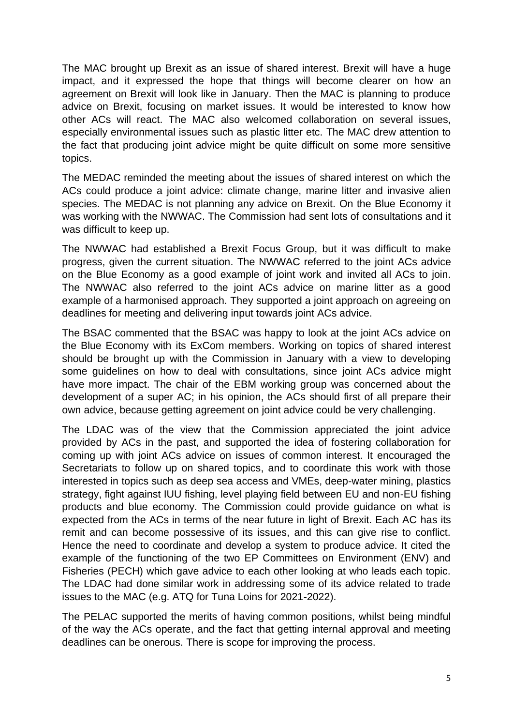The MAC brought up Brexit as an issue of shared interest. Brexit will have a huge impact, and it expressed the hope that things will become clearer on how an agreement on Brexit will look like in January. Then the MAC is planning to produce advice on Brexit, focusing on market issues. It would be interested to know how other ACs will react. The MAC also welcomed collaboration on several issues, especially environmental issues such as plastic litter etc. The MAC drew attention to the fact that producing joint advice might be quite difficult on some more sensitive topics.

The MEDAC reminded the meeting about the issues of shared interest on which the ACs could produce a joint advice: climate change, marine litter and invasive alien species. The MEDAC is not planning any advice on Brexit. On the Blue Economy it was working with the NWWAC. The Commission had sent lots of consultations and it was difficult to keep up.

The NWWAC had established a Brexit Focus Group, but it was difficult to make progress, given the current situation. The NWWAC referred to the joint ACs advice on the Blue Economy as a good example of joint work and invited all ACs to join. The NWWAC also referred to the joint ACs advice on marine litter as a good example of a harmonised approach. They supported a joint approach on agreeing on deadlines for meeting and delivering input towards joint ACs advice.

The BSAC commented that the BSAC was happy to look at the joint ACs advice on the Blue Economy with its ExCom members. Working on topics of shared interest should be brought up with the Commission in January with a view to developing some guidelines on how to deal with consultations, since joint ACs advice might have more impact. The chair of the EBM working group was concerned about the development of a super AC; in his opinion, the ACs should first of all prepare their own advice, because getting agreement on joint advice could be very challenging.

The LDAC was of the view that the Commission appreciated the joint advice provided by ACs in the past, and supported the idea of fostering collaboration for coming up with joint ACs advice on issues of common interest. It encouraged the Secretariats to follow up on shared topics, and to coordinate this work with those interested in topics such as deep sea access and VMEs, deep-water mining, plastics strategy, fight against IUU fishing, level playing field between EU and non-EU fishing products and blue economy. The Commission could provide guidance on what is expected from the ACs in terms of the near future in light of Brexit. Each AC has its remit and can become possessive of its issues, and this can give rise to conflict. Hence the need to coordinate and develop a system to produce advice. It cited the example of the functioning of the two EP Committees on Environment (ENV) and Fisheries (PECH) which gave advice to each other looking at who leads each topic. The LDAC had done similar work in addressing some of its advice related to trade issues to the MAC (e.g. ATQ for Tuna Loins for 2021-2022).

The PELAC supported the merits of having common positions, whilst being mindful of the way the ACs operate, and the fact that getting internal approval and meeting deadlines can be onerous. There is scope for improving the process.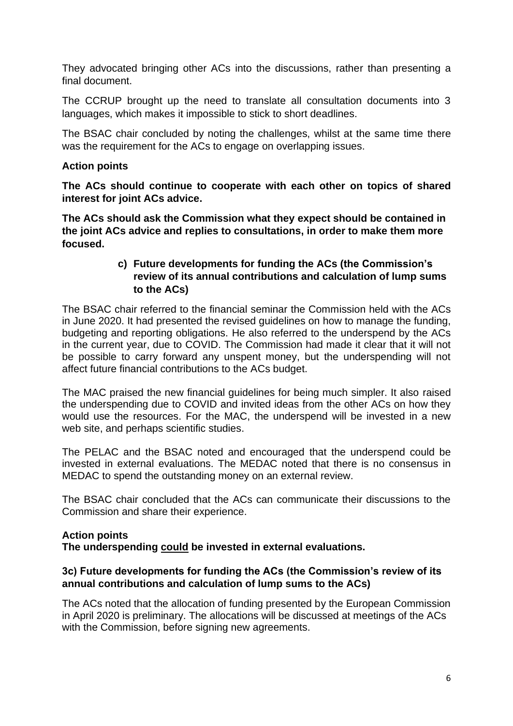They advocated bringing other ACs into the discussions, rather than presenting a final document.

The CCRUP brought up the need to translate all consultation documents into 3 languages, which makes it impossible to stick to short deadlines.

The BSAC chair concluded by noting the challenges, whilst at the same time there was the requirement for the ACs to engage on overlapping issues.

### **Action points**

**The ACs should continue to cooperate with each other on topics of shared interest for joint ACs advice.**

**The ACs should ask the Commission what they expect should be contained in the joint ACs advice and replies to consultations, in order to make them more focused.**

# **c) Future developments for funding the ACs (the Commission's review of its annual contributions and calculation of lump sums to the ACs)**

The BSAC chair referred to the financial seminar the Commission held with the ACs in June 2020. It had presented the revised guidelines on how to manage the funding, budgeting and reporting obligations. He also referred to the underspend by the ACs in the current year, due to COVID. The Commission had made it clear that it will not be possible to carry forward any unspent money, but the underspending will not affect future financial contributions to the ACs budget.

The MAC praised the new financial guidelines for being much simpler. It also raised the underspending due to COVID and invited ideas from the other ACs on how they would use the resources. For the MAC, the underspend will be invested in a new web site, and perhaps scientific studies.

The PELAC and the BSAC noted and encouraged that the underspend could be invested in external evaluations. The MEDAC noted that there is no consensus in MEDAC to spend the outstanding money on an external review.

The BSAC chair concluded that the ACs can communicate their discussions to the Commission and share their experience.

#### **Action points**

**The underspending could be invested in external evaluations.**

# **3c) Future developments for funding the ACs (the Commission's review of its annual contributions and calculation of lump sums to the ACs)**

The ACs noted that the allocation of funding presented by the European Commission in April 2020 is preliminary. The allocations will be discussed at meetings of the ACs with the Commission, before signing new agreements.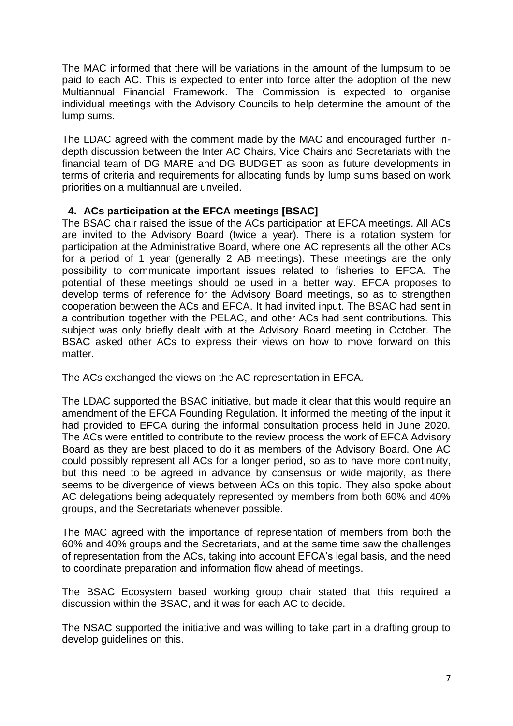The MAC informed that there will be variations in the amount of the lumpsum to be paid to each AC. This is expected to enter into force after the adoption of the new Multiannual Financial Framework. The Commission is expected to organise individual meetings with the Advisory Councils to help determine the amount of the lump sums.

The LDAC agreed with the comment made by the MAC and encouraged further indepth discussion between the Inter AC Chairs, Vice Chairs and Secretariats with the financial team of DG MARE and DG BUDGET as soon as future developments in terms of criteria and requirements for allocating funds by lump sums based on work priorities on a multiannual are unveiled.

# **4. ACs participation at the EFCA meetings [BSAC]**

The BSAC chair raised the issue of the ACs participation at EFCA meetings. All ACs are invited to the Advisory Board (twice a year). There is a rotation system for participation at the Administrative Board, where one AC represents all the other ACs for a period of 1 year (generally 2 AB meetings). These meetings are the only possibility to communicate important issues related to fisheries to EFCA. The potential of these meetings should be used in a better way. EFCA proposes to develop terms of reference for the Advisory Board meetings, so as to strengthen cooperation between the ACs and EFCA. It had invited input. The BSAC had sent in a contribution together with the PELAC, and other ACs had sent contributions. This subject was only briefly dealt with at the Advisory Board meeting in October. The BSAC asked other ACs to express their views on how to move forward on this matter.

The ACs exchanged the views on the AC representation in EFCA.

The LDAC supported the BSAC initiative, but made it clear that this would require an amendment of the EFCA Founding Regulation. It informed the meeting of the input it had provided to EFCA during the informal consultation process held in June 2020. The ACs were entitled to contribute to the review process the work of EFCA Advisory Board as they are best placed to do it as members of the Advisory Board. One AC could possibly represent all ACs for a longer period, so as to have more continuity, but this need to be agreed in advance by consensus or wide majority, as there seems to be divergence of views between ACs on this topic. They also spoke about AC delegations being adequately represented by members from both 60% and 40% groups, and the Secretariats whenever possible.

The MAC agreed with the importance of representation of members from both the 60% and 40% groups and the Secretariats, and at the same time saw the challenges of representation from the ACs, taking into account EFCA's legal basis, and the need to coordinate preparation and information flow ahead of meetings.

The BSAC Ecosystem based working group chair stated that this required a discussion within the BSAC, and it was for each AC to decide.

The NSAC supported the initiative and was willing to take part in a drafting group to develop guidelines on this.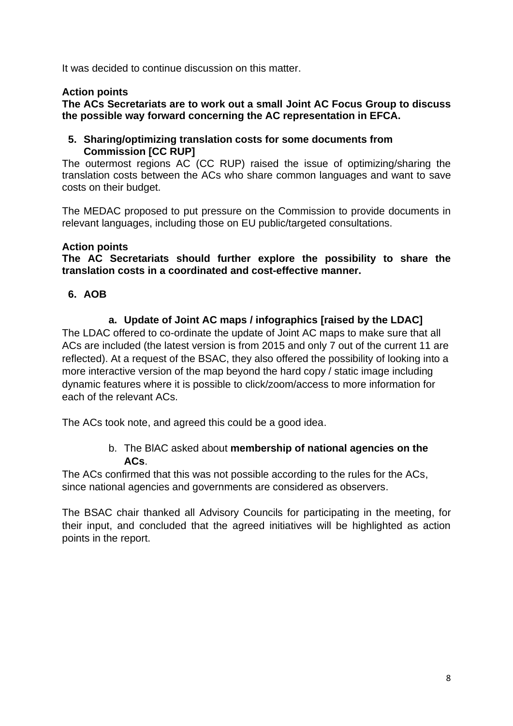It was decided to continue discussion on this matter.

# **Action points**

**The ACs Secretariats are to work out a small Joint AC Focus Group to discuss the possible way forward concerning the AC representation in EFCA.**

#### **5. Sharing/optimizing translation costs for some documents from Commission [CC RUP]**

The outermost regions AC (CC RUP) raised the issue of optimizing/sharing the translation costs between the ACs who share common languages and want to save costs on their budget.

The MEDAC proposed to put pressure on the Commission to provide documents in relevant languages, including those on EU public/targeted consultations.

### **Action points**

**The AC Secretariats should further explore the possibility to share the translation costs in a coordinated and cost-effective manner.**

### **6. AOB**

# **a. Update of Joint AC maps / infographics [raised by the LDAC]**

The LDAC offered to co-ordinate the update of Joint AC maps to make sure that all ACs are included (the latest version is from 2015 and only 7 out of the current 11 are reflected). At a request of the BSAC, they also offered the possibility of looking into a more interactive version of the map beyond the hard copy / static image including dynamic features where it is possible to click/zoom/access to more information for each of the relevant ACs.

The ACs took note, and agreed this could be a good idea.

# b. The BlAC asked about **membership of national agencies on the ACs**.

The ACs confirmed that this was not possible according to the rules for the ACs, since national agencies and governments are considered as observers.

The BSAC chair thanked all Advisory Councils for participating in the meeting, for their input, and concluded that the agreed initiatives will be highlighted as action points in the report.